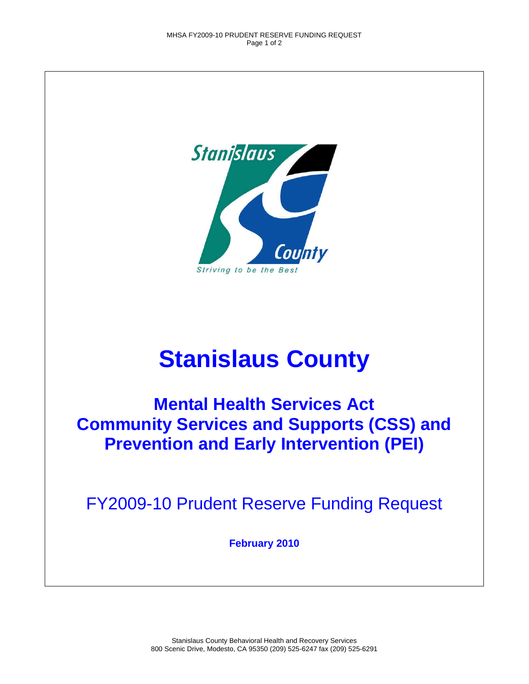

## **Stanislaus County**

**Mental Health Services Act Community Services and Supports (CSS) and Prevention and Early Intervention (PEI)** 

FY2009-10 Prudent Reserve Funding Request

**February 2010**